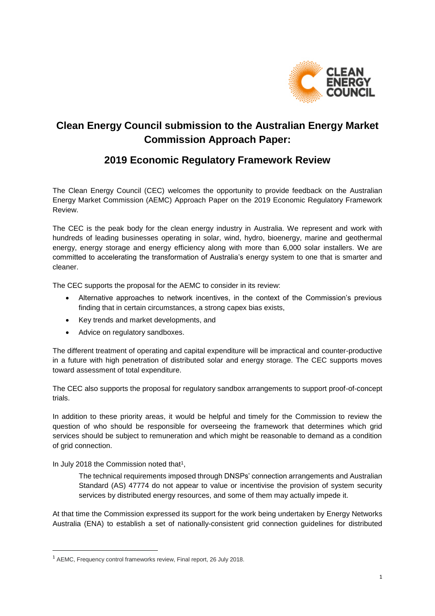

# **Clean Energy Council submission to the Australian Energy Market Commission Approach Paper:**

# **2019 Economic Regulatory Framework Review**

The Clean Energy Council (CEC) welcomes the opportunity to provide feedback on the Australian Energy Market Commission (AEMC) Approach Paper on the 2019 Economic Regulatory Framework Review.

The CEC is the peak body for the clean energy industry in Australia. We represent and work with hundreds of leading businesses operating in solar, wind, hydro, bioenergy, marine and geothermal energy, energy storage and energy efficiency along with more than 6,000 solar installers. We are committed to accelerating the transformation of Australia's energy system to one that is smarter and cleaner.

The CEC supports the proposal for the AEMC to consider in its review:

- Alternative approaches to network incentives, in the context of the Commission's previous finding that in certain circumstances, a strong capex bias exists,
- Key trends and market developments, and
- Advice on regulatory sandboxes.

The different treatment of operating and capital expenditure will be impractical and counter-productive in a future with high penetration of distributed solar and energy storage. The CEC supports moves toward assessment of total expenditure.

The CEC also supports the proposal for regulatory sandbox arrangements to support proof-of-concept trials.

In addition to these priority areas, it would be helpful and timely for the Commission to review the question of who should be responsible for overseeing the framework that determines which grid services should be subject to remuneration and which might be reasonable to demand as a condition of grid connection.

In July 2018 the Commission noted that<sup>1</sup>,

**.** 

The technical requirements imposed through DNSPs' connection arrangements and Australian Standard (AS) 47774 do not appear to value or incentivise the provision of system security services by distributed energy resources, and some of them may actually impede it.

At that time the Commission expressed its support for the work being undertaken by Energy Networks Australia (ENA) to establish a set of nationally-consistent grid connection guidelines for distributed

<sup>1</sup> AEMC, Frequency control frameworks review, Final report, 26 July 2018.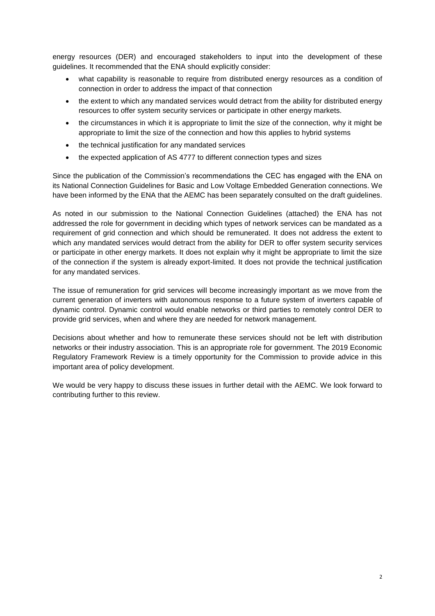energy resources (DER) and encouraged stakeholders to input into the development of these guidelines. It recommended that the ENA should explicitly consider:

- what capability is reasonable to require from distributed energy resources as a condition of connection in order to address the impact of that connection
- the extent to which any mandated services would detract from the ability for distributed energy resources to offer system security services or participate in other energy markets.
- the circumstances in which it is appropriate to limit the size of the connection, why it might be appropriate to limit the size of the connection and how this applies to hybrid systems
- the technical justification for any mandated services
- the expected application of AS 4777 to different connection types and sizes

Since the publication of the Commission's recommendations the CEC has engaged with the ENA on its National Connection Guidelines for Basic and Low Voltage Embedded Generation connections. We have been informed by the ENA that the AEMC has been separately consulted on the draft guidelines.

As noted in our submission to the National Connection Guidelines (attached) the ENA has not addressed the role for government in deciding which types of network services can be mandated as a requirement of grid connection and which should be remunerated. It does not address the extent to which any mandated services would detract from the ability for DER to offer system security services or participate in other energy markets. It does not explain why it might be appropriate to limit the size of the connection if the system is already export-limited. It does not provide the technical justification for any mandated services.

The issue of remuneration for grid services will become increasingly important as we move from the current generation of inverters with autonomous response to a future system of inverters capable of dynamic control. Dynamic control would enable networks or third parties to remotely control DER to provide grid services, when and where they are needed for network management.

Decisions about whether and how to remunerate these services should not be left with distribution networks or their industry association. This is an appropriate role for government. The 2019 Economic Regulatory Framework Review is a timely opportunity for the Commission to provide advice in this important area of policy development.

We would be very happy to discuss these issues in further detail with the AEMC. We look forward to contributing further to this review.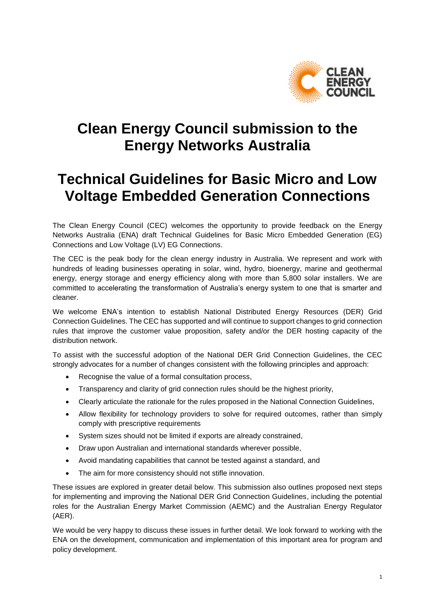

# **Clean Energy Council submission to the Energy Networks Australia**

# **Technical Guidelines for Basic Micro and Low Voltage Embedded Generation Connections**

The Clean Energy Council (CEC) welcomes the opportunity to provide feedback on the Energy Networks Australia (ENA) draft Technical Guidelines for Basic Micro Embedded Generation (EG) Connections and Low Voltage (LV) EG Connections.

The CEC is the peak body for the clean energy industry in Australia. We represent and work with hundreds of leading businesses operating in solar, wind, hydro, bioenergy, marine and geothermal energy, energy storage and energy efficiency along with more than 5,800 solar installers. We are committed to accelerating the transformation of Australia's energy system to one that is smarter and cleaner.

We welcome ENA's intention to establish National Distributed Energy Resources (DER) Grid Connection Guidelines. The CEC has supported and will continue to support changes to grid connection rules that improve the customer value proposition, safety and/or the DER hosting capacity of the distribution network.

To assist with the successful adoption of the National DER Grid Connection Guidelines, the CEC strongly advocates for a number of changes consistent with the following principles and approach:

- Recognise the value of a formal consultation process,
- Transparency and clarity of grid connection rules should be the highest priority,
- Clearly articulate the rationale for the rules proposed in the National Connection Guidelines,
- Allow flexibility for technology providers to solve for required outcomes, rather than simply comply with prescriptive requirements
- System sizes should not be limited if exports are already constrained,
- Draw upon Australian and international standards wherever possible,
- Avoid mandating capabilities that cannot be tested against a standard, and
- The aim for more consistency should not stifle innovation.

These issues are explored in greater detail below. This submission also outlines proposed next steps for implementing and improving the National DER Grid Connection Guidelines, including the potential roles for the Australian Energy Market Commission (AEMC) and the Australian Energy Regulator (AER).

We would be very happy to discuss these issues in further detail. We look forward to working with the ENA on the development, communication and implementation of this important area for program and policy development.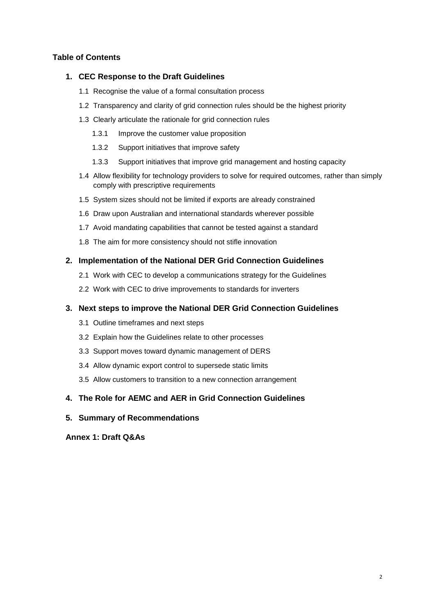# **Table of Contents**

#### **1. CEC Response to the Draft Guidelines**

- 1.1 Recognise the value of a formal consultation process
- 1.2 Transparency and clarity of grid connection rules should be the highest priority
- 1.3 Clearly articulate the rationale for grid connection rules
	- 1.3.1 Improve the customer value proposition
	- 1.3.2 Support initiatives that improve safety
	- 1.3.3 Support initiatives that improve grid management and hosting capacity
- 1.4 Allow flexibility for technology providers to solve for required outcomes, rather than simply comply with prescriptive requirements
- 1.5 System sizes should not be limited if exports are already constrained
- 1.6 Draw upon Australian and international standards wherever possible
- 1.7 Avoid mandating capabilities that cannot be tested against a standard
- 1.8 The aim for more consistency should not stifle innovation

# **2. Implementation of the National DER Grid Connection Guidelines**

- 2.1 Work with CEC to develop a communications strategy for the Guidelines
- 2.2 Work with CEC to drive improvements to standards for inverters

# **3. Next steps to improve the National DER Grid Connection Guidelines**

- 3.1 Outline timeframes and next steps
- 3.2 Explain how the Guidelines relate to other processes
- 3.3 Support moves toward dynamic management of DERS
- 3.4 Allow dynamic export control to supersede static limits
- 3.5 Allow customers to transition to a new connection arrangement

# **4. The Role for AEMC and AER in Grid Connection Guidelines**

# **5. Summary of Recommendations**

**Annex 1: Draft Q&As**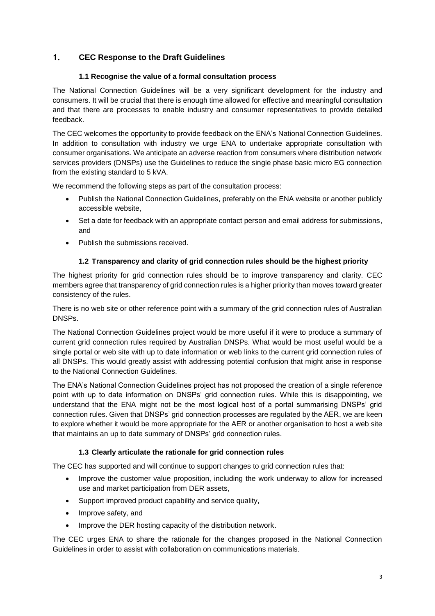# **1. CEC Response to the Draft Guidelines**

#### **1.1 Recognise the value of a formal consultation process**

The National Connection Guidelines will be a very significant development for the industry and consumers. It will be crucial that there is enough time allowed for effective and meaningful consultation and that there are processes to enable industry and consumer representatives to provide detailed feedback.

The CEC welcomes the opportunity to provide feedback on the ENA's National Connection Guidelines. In addition to consultation with industry we urge ENA to undertake appropriate consultation with consumer organisations. We anticipate an adverse reaction from consumers where distribution network services providers (DNSPs) use the Guidelines to reduce the single phase basic micro EG connection from the existing standard to 5 kVA.

We recommend the following steps as part of the consultation process:

- Publish the National Connection Guidelines, preferably on the ENA website or another publicly accessible website,
- Set a date for feedback with an appropriate contact person and email address for submissions, and
- Publish the submissions received.

# **1.2 Transparency and clarity of grid connection rules should be the highest priority**

The highest priority for grid connection rules should be to improve transparency and clarity. CEC members agree that transparency of grid connection rules is a higher priority than moves toward greater consistency of the rules.

There is no web site or other reference point with a summary of the grid connection rules of Australian DNSPs.

The National Connection Guidelines project would be more useful if it were to produce a summary of current grid connection rules required by Australian DNSPs. What would be most useful would be a single portal or web site with up to date information or web links to the current grid connection rules of all DNSPs. This would greatly assist with addressing potential confusion that might arise in response to the National Connection Guidelines.

The ENA's National Connection Guidelines project has not proposed the creation of a single reference point with up to date information on DNSPs' grid connection rules. While this is disappointing, we understand that the ENA might not be the most logical host of a portal summarising DNSPs' grid connection rules. Given that DNSPs' grid connection processes are regulated by the AER, we are keen to explore whether it would be more appropriate for the AER or another organisation to host a web site that maintains an up to date summary of DNSPs' grid connection rules.

#### **1.3 Clearly articulate the rationale for grid connection rules**

The CEC has supported and will continue to support changes to grid connection rules that:

- Improve the customer value proposition, including the work underway to allow for increased use and market participation from DER assets,
- Support improved product capability and service quality,
- Improve safety, and
- Improve the DER hosting capacity of the distribution network.

The CEC urges ENA to share the rationale for the changes proposed in the National Connection Guidelines in order to assist with collaboration on communications materials.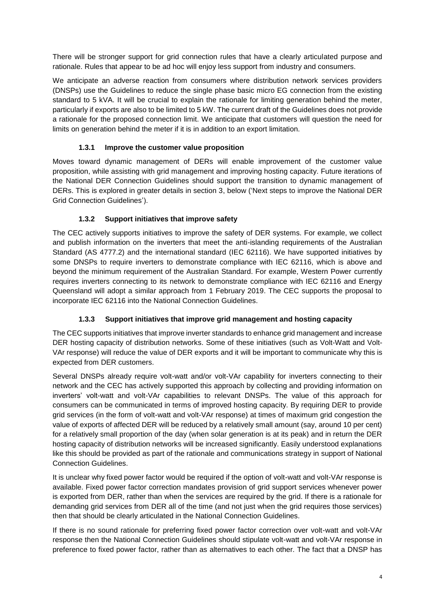There will be stronger support for grid connection rules that have a clearly articulated purpose and rationale. Rules that appear to be ad hoc will enjoy less support from industry and consumers.

We anticipate an adverse reaction from consumers where distribution network services providers (DNSPs) use the Guidelines to reduce the single phase basic micro EG connection from the existing standard to 5 kVA. It will be crucial to explain the rationale for limiting generation behind the meter, particularly if exports are also to be limited to 5 kW. The current draft of the Guidelines does not provide a rationale for the proposed connection limit. We anticipate that customers will question the need for limits on generation behind the meter if it is in addition to an export limitation.

# **1.3.1 Improve the customer value proposition**

Moves toward dynamic management of DERs will enable improvement of the customer value proposition, while assisting with grid management and improving hosting capacity. Future iterations of the National DER Connection Guidelines should support the transition to dynamic management of DERs. This is explored in greater details in section 3, below ('Next steps to improve the National DER Grid Connection Guidelines').

# **1.3.2 Support initiatives that improve safety**

The CEC actively supports initiatives to improve the safety of DER systems. For example, we collect and publish information on the inverters that meet the anti-islanding requirements of the Australian Standard (AS 4777.2) and the international standard (IEC 62116). We have supported initiatives by some DNSPs to require inverters to demonstrate compliance with IEC 62116, which is above and beyond the minimum requirement of the Australian Standard. For example, Western Power currently requires inverters connecting to its network to demonstrate compliance with IEC 62116 and Energy Queensland will adopt a similar approach from 1 February 2019. The CEC supports the proposal to incorporate IEC 62116 into the National Connection Guidelines.

# **1.3.3 Support initiatives that improve grid management and hosting capacity**

The CEC supports initiatives that improve inverter standards to enhance grid management and increase DER hosting capacity of distribution networks. Some of these initiatives (such as Volt-Watt and Volt-VAr response) will reduce the value of DER exports and it will be important to communicate why this is expected from DER customers.

Several DNSPs already require volt-watt and/or volt-VAr capability for inverters connecting to their network and the CEC has actively supported this approach by collecting and providing information on inverters' volt-watt and volt-VAr capabilities to relevant DNSPs. The value of this approach for consumers can be communicated in terms of improved hosting capacity. By requiring DER to provide grid services (in the form of volt-watt and volt-VAr response) at times of maximum grid congestion the value of exports of affected DER will be reduced by a relatively small amount (say, around 10 per cent) for a relatively small proportion of the day (when solar generation is at its peak) and in return the DER hosting capacity of distribution networks will be increased significantly. Easily understood explanations like this should be provided as part of the rationale and communications strategy in support of National Connection Guidelines.

It is unclear why fixed power factor would be required if the option of volt-watt and volt-VAr response is available. Fixed power factor correction mandates provision of grid support services whenever power is exported from DER, rather than when the services are required by the grid. If there is a rationale for demanding grid services from DER all of the time (and not just when the grid requires those services) then that should be clearly articulated in the National Connection Guidelines.

If there is no sound rationale for preferring fixed power factor correction over volt-watt and volt-VAr response then the National Connection Guidelines should stipulate volt-watt and volt-VAr response in preference to fixed power factor, rather than as alternatives to each other. The fact that a DNSP has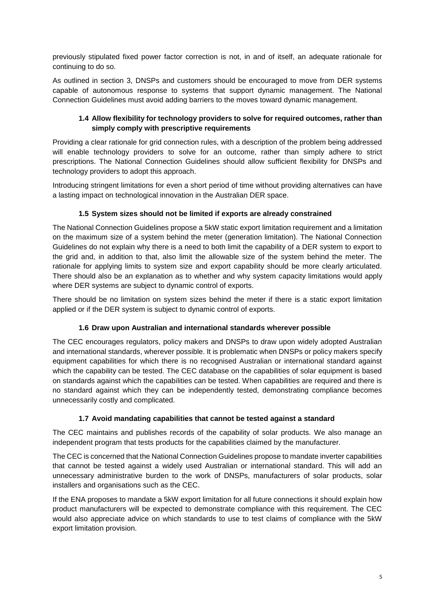previously stipulated fixed power factor correction is not, in and of itself, an adequate rationale for continuing to do so.

As outlined in section 3, DNSPs and customers should be encouraged to move from DER systems capable of autonomous response to systems that support dynamic management. The National Connection Guidelines must avoid adding barriers to the moves toward dynamic management.

#### **1.4 Allow flexibility for technology providers to solve for required outcomes, rather than simply comply with prescriptive requirements**

Providing a clear rationale for grid connection rules, with a description of the problem being addressed will enable technology providers to solve for an outcome, rather than simply adhere to strict prescriptions. The National Connection Guidelines should allow sufficient flexibility for DNSPs and technology providers to adopt this approach.

Introducing stringent limitations for even a short period of time without providing alternatives can have a lasting impact on technological innovation in the Australian DER space.

# **1.5 System sizes should not be limited if exports are already constrained**

The National Connection Guidelines propose a 5kW static export limitation requirement and a limitation on the maximum size of a system behind the meter (generation limitation). The National Connection Guidelines do not explain why there is a need to both limit the capability of a DER system to export to the grid and, in addition to that, also limit the allowable size of the system behind the meter. The rationale for applying limits to system size and export capability should be more clearly articulated. There should also be an explanation as to whether and why system capacity limitations would apply where DER systems are subject to dynamic control of exports.

There should be no limitation on system sizes behind the meter if there is a static export limitation applied or if the DER system is subject to dynamic control of exports.

# **1.6 Draw upon Australian and international standards wherever possible**

The CEC encourages regulators, policy makers and DNSPs to draw upon widely adopted Australian and international standards, wherever possible. It is problematic when DNSPs or policy makers specify equipment capabilities for which there is no recognised Australian or international standard against which the capability can be tested. The CEC database on the capabilities of solar equipment is based on standards against which the capabilities can be tested. When capabilities are required and there is no standard against which they can be independently tested, demonstrating compliance becomes unnecessarily costly and complicated.

#### **1.7 Avoid mandating capabilities that cannot be tested against a standard**

The CEC maintains and publishes records of the capability of solar products. We also manage an independent program that tests products for the capabilities claimed by the manufacturer.

The CEC is concerned that the National Connection Guidelines propose to mandate inverter capabilities that cannot be tested against a widely used Australian or international standard. This will add an unnecessary administrative burden to the work of DNSPs, manufacturers of solar products, solar installers and organisations such as the CEC.

If the ENA proposes to mandate a 5kW export limitation for all future connections it should explain how product manufacturers will be expected to demonstrate compliance with this requirement. The CEC would also appreciate advice on which standards to use to test claims of compliance with the 5kW export limitation provision.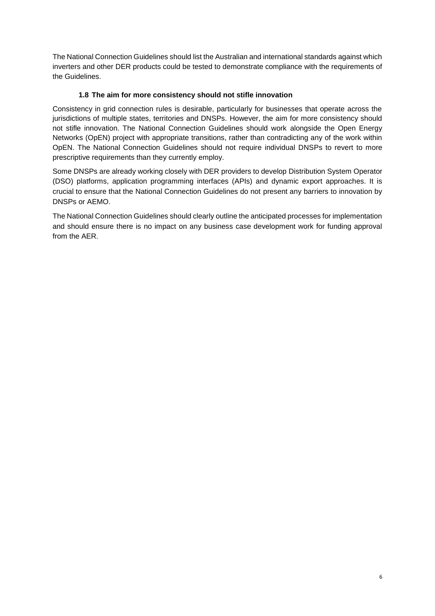The National Connection Guidelines should list the Australian and international standards against which inverters and other DER products could be tested to demonstrate compliance with the requirements of the Guidelines.

# **1.8 The aim for more consistency should not stifle innovation**

Consistency in grid connection rules is desirable, particularly for businesses that operate across the jurisdictions of multiple states, territories and DNSPs. However, the aim for more consistency should not stifle innovation. The National Connection Guidelines should work alongside the Open Energy Networks (OpEN) project with appropriate transitions, rather than contradicting any of the work within OpEN. The National Connection Guidelines should not require individual DNSPs to revert to more prescriptive requirements than they currently employ.

Some DNSPs are already working closely with DER providers to develop Distribution System Operator (DSO) platforms, application programming interfaces (APIs) and dynamic export approaches. It is crucial to ensure that the National Connection Guidelines do not present any barriers to innovation by DNSPs or AEMO.

The National Connection Guidelines should clearly outline the anticipated processes for implementation and should ensure there is no impact on any business case development work for funding approval from the AER.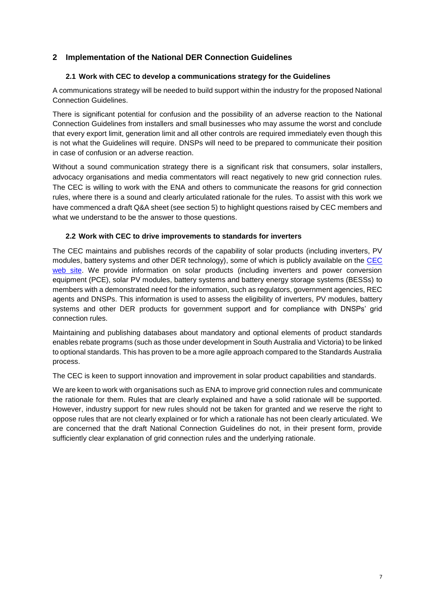# **2 Implementation of the National DER Connection Guidelines**

#### **2.1 Work with CEC to develop a communications strategy for the Guidelines**

A communications strategy will be needed to build support within the industry for the proposed National Connection Guidelines.

There is significant potential for confusion and the possibility of an adverse reaction to the National Connection Guidelines from installers and small businesses who may assume the worst and conclude that every export limit, generation limit and all other controls are required immediately even though this is not what the Guidelines will require. DNSPs will need to be prepared to communicate their position in case of confusion or an adverse reaction.

Without a sound communication strategy there is a significant risk that consumers, solar installers, advocacy organisations and media commentators will react negatively to new grid connection rules. The CEC is willing to work with the ENA and others to communicate the reasons for grid connection rules, where there is a sound and clearly articulated rationale for the rules. To assist with this work we have commenced a draft Q&A sheet (see section 5) to highlight questions raised by CEC members and what we understand to be the answer to those questions.

#### **2.2 Work with CEC to drive improvements to standards for inverters**

The CEC maintains and publishes records of the capability of solar products (including inverters, PV modules, battery systems and other DER technology), some of which is publicly available on the [CEC](https://www.solaraccreditation.com.au/products.html)  [web site.](https://www.solaraccreditation.com.au/products.html) We provide information on solar products (including inverters and power conversion equipment (PCE), solar PV modules, battery systems and battery energy storage systems (BESSs) to members with a demonstrated need for the information, such as regulators, government agencies, REC agents and DNSPs. This information is used to assess the eligibility of inverters, PV modules, battery systems and other DER products for government support and for compliance with DNSPs' grid connection rules.

Maintaining and publishing databases about mandatory and optional elements of product standards enables rebate programs (such as those under development in South Australia and Victoria) to be linked to optional standards. This has proven to be a more agile approach compared to the Standards Australia process.

The CEC is keen to support innovation and improvement in solar product capabilities and standards.

We are keen to work with organisations such as ENA to improve grid connection rules and communicate the rationale for them. Rules that are clearly explained and have a solid rationale will be supported. However, industry support for new rules should not be taken for granted and we reserve the right to oppose rules that are not clearly explained or for which a rationale has not been clearly articulated. We are concerned that the draft National Connection Guidelines do not, in their present form, provide sufficiently clear explanation of grid connection rules and the underlying rationale.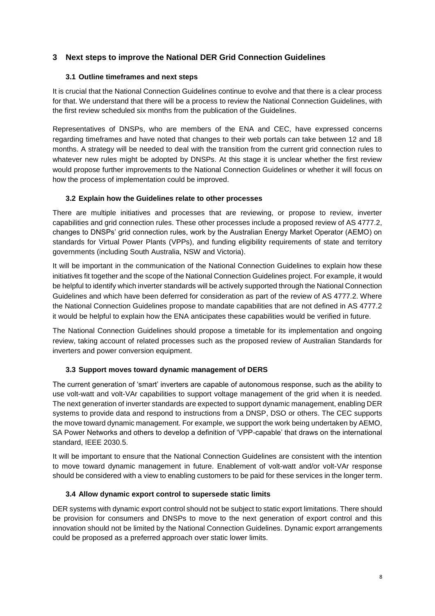# **3 Next steps to improve the National DER Grid Connection Guidelines**

#### **3.1 Outline timeframes and next steps**

It is crucial that the National Connection Guidelines continue to evolve and that there is a clear process for that. We understand that there will be a process to review the National Connection Guidelines, with the first review scheduled six months from the publication of the Guidelines.

Representatives of DNSPs, who are members of the ENA and CEC, have expressed concerns regarding timeframes and have noted that changes to their web portals can take between 12 and 18 months. A strategy will be needed to deal with the transition from the current grid connection rules to whatever new rules might be adopted by DNSPs. At this stage it is unclear whether the first review would propose further improvements to the National Connection Guidelines or whether it will focus on how the process of implementation could be improved.

#### **3.2 Explain how the Guidelines relate to other processes**

There are multiple initiatives and processes that are reviewing, or propose to review, inverter capabilities and grid connection rules. These other processes include a proposed review of AS 4777.2, changes to DNSPs' grid connection rules, work by the Australian Energy Market Operator (AEMO) on standards for Virtual Power Plants (VPPs), and funding eligibility requirements of state and territory governments (including South Australia, NSW and Victoria).

It will be important in the communication of the National Connection Guidelines to explain how these initiatives fit together and the scope of the National Connection Guidelines project. For example, it would be helpful to identify which inverter standards will be actively supported through the National Connection Guidelines and which have been deferred for consideration as part of the review of AS 4777.2. Where the National Connection Guidelines propose to mandate capabilities that are not defined in AS 4777.2 it would be helpful to explain how the ENA anticipates these capabilities would be verified in future.

The National Connection Guidelines should propose a timetable for its implementation and ongoing review, taking account of related processes such as the proposed review of Australian Standards for inverters and power conversion equipment.

# **3.3 Support moves toward dynamic management of DERS**

The current generation of 'smart' inverters are capable of autonomous response, such as the ability to use volt-watt and volt-VAr capabilities to support voltage management of the grid when it is needed. The next generation of inverter standards are expected to support dynamic management, enabling DER systems to provide data and respond to instructions from a DNSP, DSO or others. The CEC supports the move toward dynamic management. For example, we support the work being undertaken by AEMO, SA Power Networks and others to develop a definition of 'VPP-capable' that draws on the international standard, IEEE 2030.5.

It will be important to ensure that the National Connection Guidelines are consistent with the intention to move toward dynamic management in future. Enablement of volt-watt and/or volt-VAr response should be considered with a view to enabling customers to be paid for these services in the longer term.

#### **3.4 Allow dynamic export control to supersede static limits**

DER systems with dynamic export control should not be subject to static export limitations. There should be provision for consumers and DNSPs to move to the next generation of export control and this innovation should not be limited by the National Connection Guidelines. Dynamic export arrangements could be proposed as a preferred approach over static lower limits.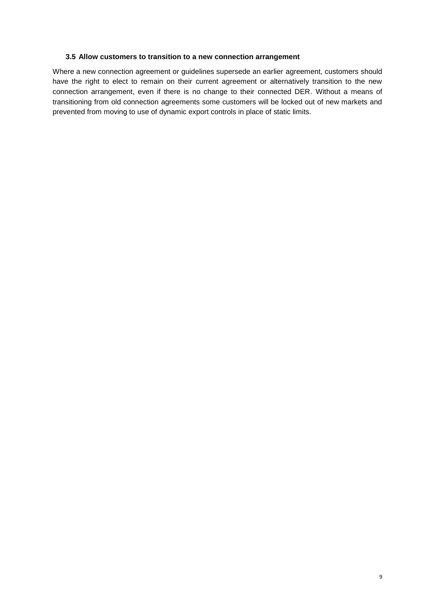#### **3.5 Allow customers to transition to a new connection arrangement**

Where a new connection agreement or guidelines supersede an earlier agreement, customers should have the right to elect to remain on their current agreement or alternatively transition to the new connection arrangement, even if there is no change to their connected DER. Without a means of transitioning from old connection agreements some customers will be locked out of new markets and prevented from moving to use of dynamic export controls in place of static limits.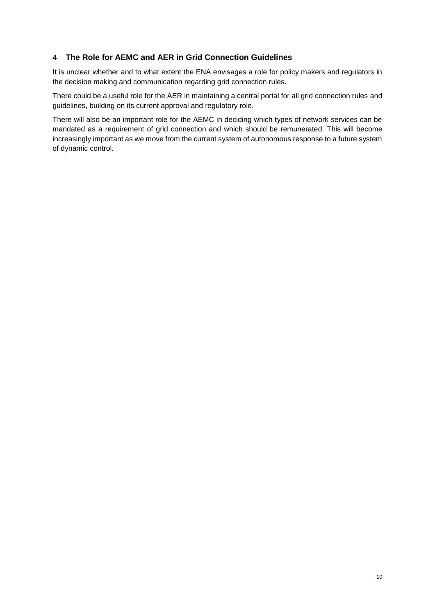# **4 The Role for AEMC and AER in Grid Connection Guidelines**

It is unclear whether and to what extent the ENA envisages a role for policy makers and regulators in the decision making and communication regarding grid connection rules.

There could be a useful role for the AER in maintaining a central portal for all grid connection rules and guidelines, building on its current approval and regulatory role.

There will also be an important role for the AEMC in deciding which types of network services can be mandated as a requirement of grid connection and which should be remunerated. This will become increasingly important as we move from the current system of autonomous response to a future system of dynamic control.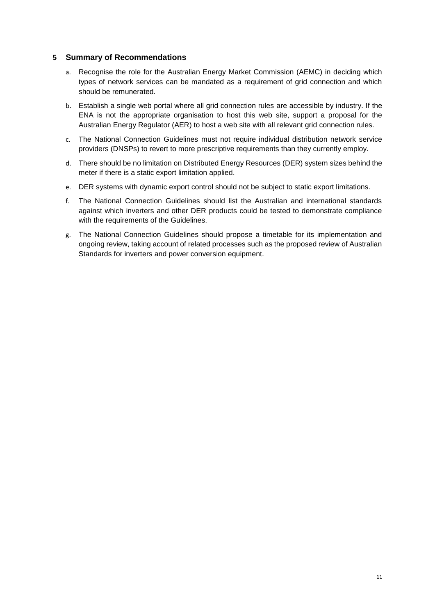#### **5 Summary of Recommendations**

- a. Recognise the role for the Australian Energy Market Commission (AEMC) in deciding which types of network services can be mandated as a requirement of grid connection and which should be remunerated.
- b. Establish a single web portal where all grid connection rules are accessible by industry. If the ENA is not the appropriate organisation to host this web site, support a proposal for the Australian Energy Regulator (AER) to host a web site with all relevant grid connection rules.
- c. The National Connection Guidelines must not require individual distribution network service providers (DNSPs) to revert to more prescriptive requirements than they currently employ.
- d. There should be no limitation on Distributed Energy Resources (DER) system sizes behind the meter if there is a static export limitation applied.
- e. DER systems with dynamic export control should not be subject to static export limitations.
- f. The National Connection Guidelines should list the Australian and international standards against which inverters and other DER products could be tested to demonstrate compliance with the requirements of the Guidelines.
- g. The National Connection Guidelines should propose a timetable for its implementation and ongoing review, taking account of related processes such as the proposed review of Australian Standards for inverters and power conversion equipment.